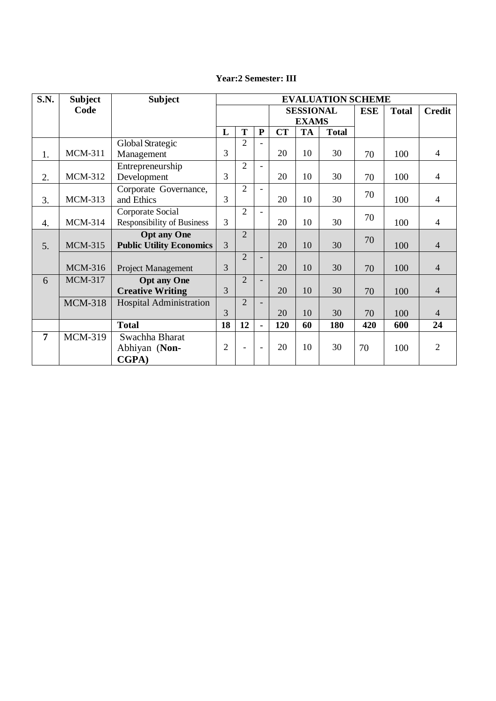| <b>S.N.</b>    | <b>Subject</b> | <b>Subject</b>                    | <b>EVALUATION SCHEME</b> |                |                          |                  |           |              |            |              |                |
|----------------|----------------|-----------------------------------|--------------------------|----------------|--------------------------|------------------|-----------|--------------|------------|--------------|----------------|
|                | Code           |                                   |                          |                |                          | <b>SESSIONAL</b> |           |              | <b>ESE</b> | <b>Total</b> | <b>Credit</b>  |
|                |                |                                   |                          |                |                          | <b>EXAMS</b>     |           |              |            |              |                |
|                |                |                                   | L                        | T              | ${\bf P}$                | <b>CT</b>        | <b>TA</b> | <b>Total</b> |            |              |                |
|                |                | Global Strategic                  |                          | $\overline{2}$ | $\overline{a}$           |                  |           |              |            |              |                |
| 1.             | <b>MCM-311</b> | Management                        | 3                        |                |                          | 20               | 10        | 30           | 70         | 100          | $\overline{4}$ |
|                |                | Entrepreneurship                  |                          | $\overline{2}$ | $\blacksquare$           |                  |           |              |            |              |                |
| 2.             | <b>MCM-312</b> | Development                       | 3                        |                |                          | 20               | 10        | 30           | 70         | 100          | $\overline{4}$ |
|                |                | Corporate Governance,             |                          | $\overline{2}$ | $\blacksquare$           |                  |           |              |            |              |                |
| 3.             | <b>MCM-313</b> | and Ethics                        | 3                        |                |                          | 20               | 10        | 30           | 70         | 100          | $\overline{4}$ |
|                |                | Corporate Social                  |                          | $\overline{2}$ | $\equiv$                 |                  |           |              |            |              |                |
| 4.             | <b>MCM-314</b> | <b>Responsibility of Business</b> | $\overline{3}$           |                |                          | 20               | 10        | 30           | 70         | 100          | $\overline{4}$ |
|                |                | <b>Opt any One</b>                |                          | $\overline{2}$ |                          |                  |           |              | 70         |              |                |
| 5.             | <b>MCM-315</b> | <b>Public Utility Economics</b>   | $\overline{3}$           |                |                          | 20               | 10        | 30           |            | 100          | $\overline{4}$ |
|                |                |                                   |                          | $\overline{2}$ | $\overline{\phantom{0}}$ |                  |           |              |            |              |                |
|                | <b>MCM-316</b> | Project Management                | 3                        |                |                          | 20               | 10        | 30           | 70         | 100          | $\overline{4}$ |
| 6              | <b>MCM-317</b> | <b>Opt any One</b>                |                          | $\overline{2}$ |                          |                  |           |              |            |              |                |
|                |                | <b>Creative Writing</b>           | 3                        |                |                          | 20               | 10        | 30           | 70         | 100          | $\overline{4}$ |
|                | <b>MCM-318</b> | <b>Hospital Administration</b>    |                          | $\overline{2}$ |                          |                  |           |              |            |              |                |
|                |                |                                   | 3                        |                |                          | 20               | 10        | 30           | 70         | 100          | 4              |
|                |                | <b>Total</b>                      | 18                       | 12             | $\blacksquare$           | 120              | 60        | 180          | 420        | 600          | 24             |
| $\overline{7}$ | <b>MCM-319</b> | Swachha Bharat                    |                          |                |                          |                  |           |              |            |              |                |
|                |                | Abhiyan (Non-                     | $\overline{2}$           | ۳              | $\overline{\phantom{a}}$ | 20               | 10        | 30           | 70         | 100          | $\overline{2}$ |
|                |                | <b>CGPA</b> )                     |                          |                |                          |                  |           |              |            |              |                |

## **Year:2 Semester: III**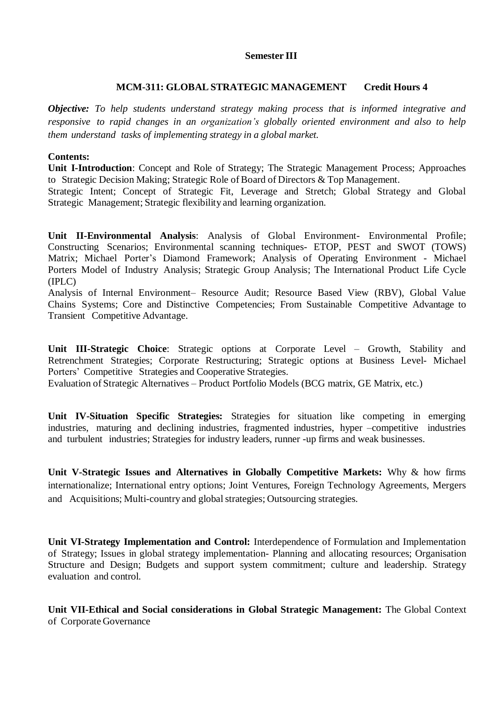## **Semester III**

## **MCM-311: GLOBAL STRATEGIC MANAGEMENT Credit Hours 4**

*Objective: To help students understand strategy making process that is informed integrative and responsive to rapid changes in an organization's globally oriented environment and also to help them understand tasks of implementing strategy in a global market.*

#### **Contents:**

**Unit I-Introduction**: Concept and Role of Strategy; The Strategic Management Process; Approaches to Strategic Decision Making; Strategic Role of Board of Directors & Top Management.

Strategic Intent; Concept of Strategic Fit, Leverage and Stretch; Global Strategy and Global Strategic Management; Strategic flexibility and learning organization.

**Unit II-Environmental Analysis**: Analysis of Global Environment- Environmental Profile; Constructing Scenarios; Environmental scanning techniques- ETOP, PEST and SWOT (TOWS) Matrix; Michael Porter's Diamond Framework; Analysis of Operating Environment - Michael Porters Model of Industry Analysis; Strategic Group Analysis; The International Product Life Cycle (IPLC)

Analysis of Internal Environment– Resource Audit; Resource Based View (RBV), Global Value Chains Systems; Core and Distinctive Competencies; From Sustainable Competitive Advantage to Transient Competitive Advantage.

**Unit III-Strategic Choice**: Strategic options at Corporate Level – Growth, Stability and Retrenchment Strategies; Corporate Restructuring; Strategic options at Business Level- Michael Porters' Competitive Strategies and Cooperative Strategies.

Evaluation of Strategic Alternatives – Product Portfolio Models (BCG matrix, GE Matrix, etc.)

**Unit IV-Situation Specific Strategies:** Strategies for situation like competing in emerging industries, maturing and declining industries, fragmented industries, hyper –competitive industries and turbulent industries; Strategies for industry leaders, runner -up firms and weak businesses.

**Unit V-Strategic Issues and Alternatives in Globally Competitive Markets:** Why & how firms internationalize; International entry options; Joint Ventures, Foreign Technology Agreements, Mergers and Acquisitions; Multi-country and global strategies; Outsourcing strategies.

**Unit VI-Strategy Implementation and Control:** Interdependence of Formulation and Implementation of Strategy; Issues in global strategy implementation- Planning and allocating resources; Organisation Structure and Design; Budgets and support system commitment; culture and leadership. Strategy evaluation and control.

**Unit VII-Ethical and Social considerations in Global Strategic Management:** The Global Context of Corporate Governance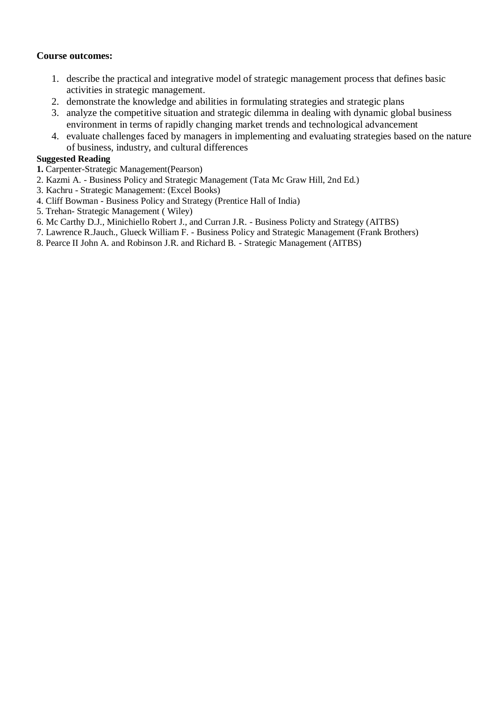## **Course outcomes:**

- 1. describe the practical and integrative model of strategic management process that defines basic activities in strategic management.
- 2. demonstrate the knowledge and abilities in formulating strategies and strategic plans
- 3. analyze the competitive situation and strategic dilemma in dealing with dynamic global business environment in terms of rapidly changing market trends and technological advancement
- 4. evaluate challenges faced by managers in implementing and evaluating strategies based on the nature of business, industry, and cultural differences

#### **Suggested Reading**

- **1.** Carpenter-Strategic Management(Pearson)
- 2. Kazmi A. Business Policy and Strategic Management (Tata Mc Graw Hill, 2nd Ed.)
- 3. Kachru Strategic Management: (Excel Books)
- 4. Cliff Bowman Business Policy and Strategy (Prentice Hall of India)
- 5. Trehan- Strategic Management ( Wiley)
- 6. Mc Carthy D.J., Minichiello Robert J., and Curran J.R. Business Policty and Strategy (AITBS)
- 7. Lawrence R.Jauch., Glueck William F. Business Policy and Strategic Management (Frank Brothers)
- 8. Pearce II John A. and Robinson J.R. and Richard B. Strategic Management (AITBS)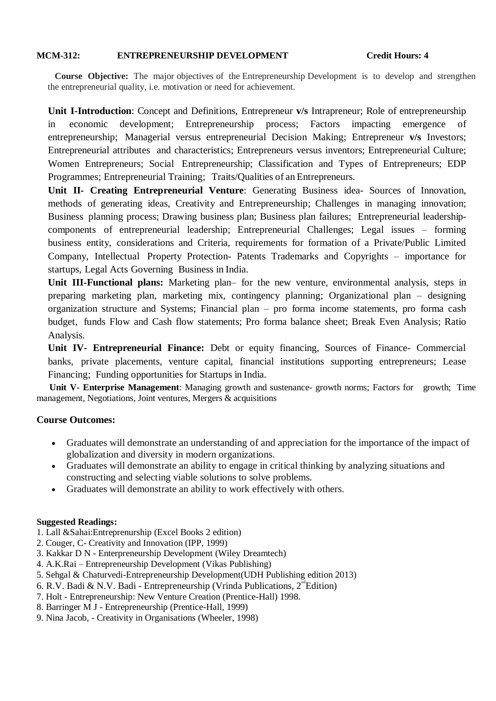#### **MCM-312: ENTREPRENEURSHIP DEVELOPMENT Credit Hours: 4**

 **Course Objective:** The major objectives of the Entrepreneurship Development is to develop and strengthen the entrepreneurial quality, i.e. motivation or need for achievement.

**Unit I-Introduction**: Concept and Definitions, Entrepreneur **v/s** Intrapreneur; Role of entrepreneurship in economic development; Entrepreneurship process; Factors impacting emergence entrepreneurship; Managerial versus entrepreneurial Decision Making; Entrepreneur **v/s** Investors; Entrepreneurial attributes and characteristics; Entrepreneurs versus inventors; Entrepreneurial Culture; Women Entrepreneurs: Social Entrepreneurship: Classification and Types of Entrepreneurs: EDP Programmes; Entrepreneurial Training; Traits/Qualities of an Entrepreneurs.

**Unit II- Creating Entrepreneurial Venture**: Generating Business idea- Sources of Innovation, methods of generating ideas, Creativity and Entrepreneurship; Challenges in managing innovation; Business planning process; Drawing business plan; Business plan failures; Entrepreneurial leadershipcomponents of entrepreneurial leadership; Entrepreneurial Challenges; Legal issues – forming business entity, considerations and Criteria, requirements for formation of a Private/Public Limited Company, Intellectual Property Protection- Patents Trademarks and Copyrights – importance for startups, Legal Acts Governing Business in India.

**Unit III-Functional plans:** Marketing plan– for the new venture, environmental analysis, steps in preparing marketing plan, marketing mix, contingency planning; Organizational plan – designing organization structure and Systems; Financial plan – pro forma income statements, pro forma cash budget, funds Flow and Cash flow statements; Pro forma balance sheet; Break Even Analysis; Ratio Analysis.

**Unit IV- Entrepreneurial Finance:** Debt or equity financing, Sources of Finance- Commercial banks, private placements, venture capital, financial institutions supporting entrepreneurs; Lease Financing; Funding opportunities for Startups in India.

**Unit V-** Enterprise Management: Managing growth and sustenance- growth norms; Factors for growth; Time management, Negotiations, Joint ventures, Mergers & acquisitions

## **Course Outcomes:**

- Graduates will demonstrate an understanding of and appreciation for the importance of the impact of globalization and diversity in modern organizations.
- Graduates will demonstrate an ability to engage in critical thinking by analyzing situations and constructing and selecting viable solutions to solve problems.
- Graduates will demonstrate an ability to work effectively with others.

#### **Suggested Readings:**

- 1. Lall &Sahai:Entreprenurship (Excel Books 2 edition)
- 2. Couger, C- Creativity and Innovation (IPP, 1999)
- 3. Kakkar D N Enterpreneurship Development (Wiley Dreamtech)
- 4. A.K.Rai Entrepreneurship Development (Vikas Publishing)
- 5. Sehgal & Chaturvedi-Entrepreneurship Development(UDH Publishing edition 2013)
- 6. R.V. Badi & N.V. Badi Entrepreneurship (Vrinda Publications,  $2^{nd}$ Edition)
- 7. Holt Entrepreneurship: New Venture Creation (Prentice-Hall) 1998.
- 8. Barringer M J Entrepreneurship (Prentice-Hall, 1999)
- 9. Nina Jacob, Creativity in Organisations (Wheeler, 1998)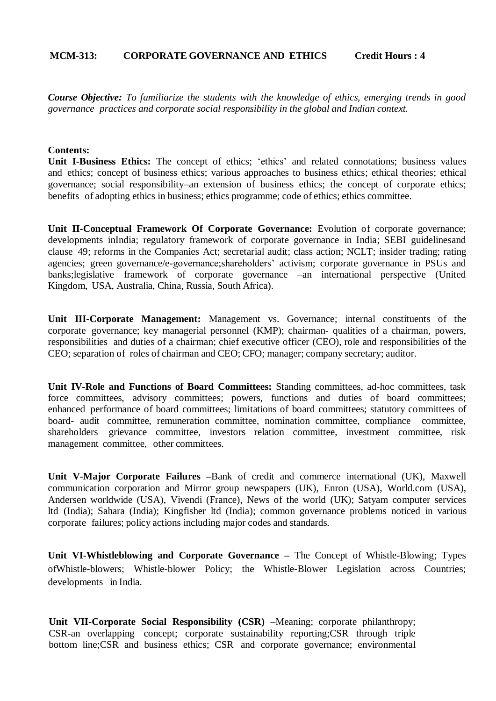#### **MCM-313: CORPORATE GOVERNANCE AND ETHICS Credit Hours : 4**

*Course Objective: To familiarize the students with the knowledge of ethics, emerging trends in good governance practices and corporate social responsibility in the global and Indian context.*

#### **Contents:**

**Unit I-Business Ethics:** The concept of ethics; 'ethics' and related connotations; business values and ethics; concept of business ethics; various approaches to business ethics; ethical theories; ethical governance; social responsibility–an extension of business ethics; the concept of corporate ethics; benefits of adopting ethics in business; ethics programme; code of ethics; ethics committee.

**Unit II-Conceptual Framework Of Corporate Governance:** Evolution of corporate governance; developments inIndia; regulatory framework of corporate governance in India; SEBI guidelinesand clause 49; reforms in the Companies Act; secretarial audit; class action; NCLT; insider trading; rating agencies; green governance/e-governance;shareholders' activism; corporate governance in PSUs and banks;legislative framework of corporate governance –an international perspective (United Kingdom, USA, Australia, China, Russia, South Africa).

**Unit III-Corporate Management:** Management vs. Governance; internal constituents of the corporate governance; key managerial personnel (KMP); chairman- qualities of a chairman, powers, responsibilities and duties of a chairman; chief executive officer (CEO), role and responsibilities of the CEO; separation of roles of chairman and CEO; CFO; manager; company secretary; auditor.

**Unit IV-Role and Functions of Board Committees:** Standing committees, ad-hoc committees, task force committees, advisory committees; powers, functions and duties of board committees; enhanced performance of board committees; limitations of board committees; statutory committees of board- audit committee, remuneration committee, nomination committee, compliance committee, shareholders grievance committee, investors relation committee, investment committee, risk management committee, other committees.

**Unit V-Major Corporate Failures –**Bank of credit and commerce international (UK), Maxwell communication corporation and Mirror group newspapers (UK), Enron (USA), World.com (USA), Andersen worldwide (USA), Vivendi (France), News of the world (UK); Satyam computer services ltd (India); Sahara (India); Kingfisher ltd (India); common governance problems noticed in various corporate failures; policy actions including major codes and standards.

**Unit VI-Whistleblowing and Corporate Governance –** The Concept of Whistle-Blowing; Types ofWhistle-blowers; Whistle-blower Policy; the Whistle-Blower Legislation across Countries; developments in India.

**Unit VII-Corporate Social Responsibility (CSR) –**Meaning; corporate philanthropy; CSR-an overlapping concept; corporate sustainability reporting;CSR through triple bottom line;CSR and business ethics; CSR and corporate governance; environmental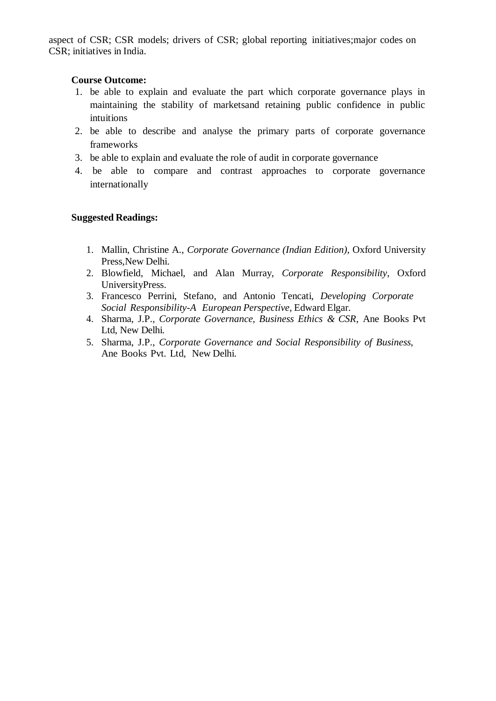aspect of CSR; CSR models; drivers of CSR; global reporting initiatives;major codes on CSR; initiatives in India.

#### **Course Outcome:**

- 1. be able to explain and evaluate the part which corporate governance plays in maintaining the stability of marketsand retaining public confidence in public intuitions
- 2. be able to describe and analyse the primary parts of corporate governance frameworks
- 3. be able to explain and evaluate the role of audit in corporate governance
- 4. be able to compare and contrast approaches to corporate governance internationally

## **Suggested Readings:**

- 1. Mallin, Christine A., *Corporate Governance (Indian Edition)*, Oxford University Press, New Delhi.
- 2. Blowfield, Michael, and Alan Murray, *Corporate Responsibility*, Oxford UniversityPress.
- 3. Francesco Perrini, Stefano, and Antonio Tencati, *Developing Corporate Social Responsibility-A European Perspective*, Edward Elgar.
- 4. Sharma, J.P., *Corporate Governance, Business Ethics & CSR*, Ane Books Pvt Ltd, New Delhi.
- 5. Sharma, J.P., *Corporate Governance and Social Responsibility of Business*, Ane Books Pvt. Ltd, New Delhi.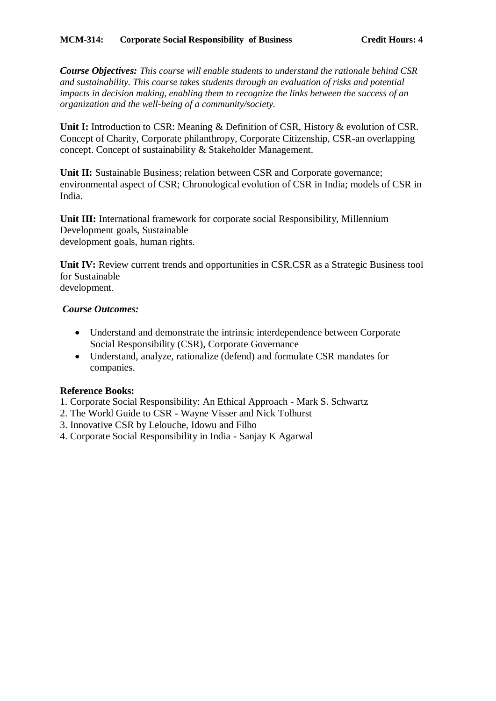*Course Objectives: This course will enable students to understand the rationale behind CSR and sustainability. This course takes students through an evaluation of risks and potential impacts in decision making, enabling them to recognize the links between the success of an organization and the well-being of a community/society.*

**Unit I:** Introduction to CSR: Meaning & Definition of CSR, History & evolution of CSR. Concept of Charity, Corporate philanthropy, Corporate Citizenship, CSR-an overlapping concept. Concept of sustainability & Stakeholder Management.

**Unit II:** Sustainable Business; relation between CSR and Corporate governance; environmental aspect of CSR; Chronological evolution of CSR in India; models of CSR in India.

**Unit III:** International framework for corporate social Responsibility, Millennium Development goals, Sustainable development goals, human rights.

**Unit IV:** Review current trends and opportunities in CSR.CSR as a Strategic Business tool for Sustainable development.

## *Course Outcomes:*

- Understand and demonstrate the intrinsic interdependence between Corporate Social Responsibility (CSR), Corporate Governance
- Understand, analyze, rationalize (defend) and formulate CSR mandates for companies.

## **Reference Books:**

- 1. Corporate Social Responsibility: An Ethical Approach Mark S. Schwartz
- 2. The World Guide to CSR Wayne Visser and Nick Tolhurst
- 3. Innovative CSR by Lelouche, Idowu and Filho
- 4. Corporate Social Responsibility in India Sanjay K Agarwal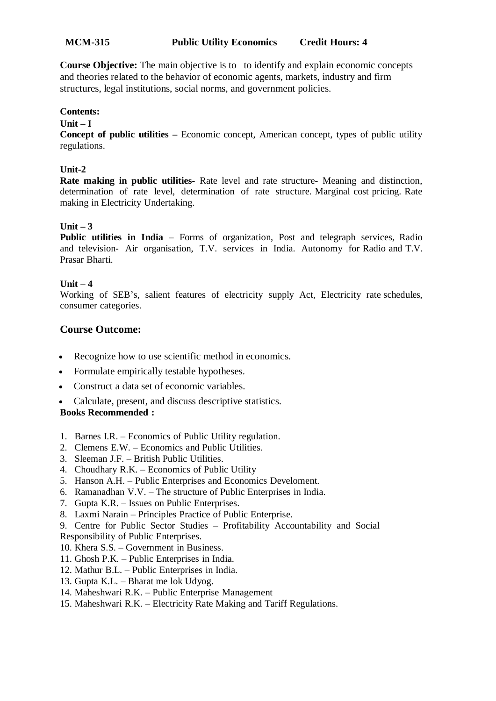## **MCM-315 Public Utility Economics Credit Hours: 4**

**Course Objective:** The main objective is to to identify and explain economic concepts and theories related to the behavior of economic agents, markets, industry and firm structures, legal institutions, social norms, and government policies.

#### **Contents:**

#### **Unit – I**

**Concept of public utilities –** Economic concept, American concept, types of public utility regulations.

## **Unit-2**

**Rate making in public utilities-** Rate level and rate structure- Meaning and distinction, determination of rate level, determination of rate structure. Marginal cost pricing. Rate making in Electricity Undertaking.

## **Unit – 3**

**Public utilities in India –** Forms of organization, Post and telegraph services, Radio and television- Air organisation, T.V. services in India. Autonomy for Radio and T.V. Prasar Bharti.

## **Unit – 4**

Working of SEB's, salient features of electricity supply Act, Electricity rate schedules, consumer categories.

## **Course Outcome:**

- Recognize how to use scientific method in economics.
- Formulate empirically testable hypotheses.
- Construct a data set of economic variables.
- Calculate, present, and discuss descriptive statistics.

#### **Books Recommended :**

- 1. Barnes I.R. Economics of Public Utility regulation.
- 2. Clemens E.W. Economics and Public Utilities.
- 3. Sleeman J.F. British Public Utilities.
- 4. Choudhary R.K. Economics of Public Utility
- 5. Hanson A.H. Public Enterprises and Economics Develoment.
- 6. Ramanadhan V.V. The structure of Public Enterprises in India.
- 7. Gupta K.R. Issues on Public Enterprises.
- 8. Laxmi Narain Principles Practice of Public Enterprise.
- 9. Centre for Public Sector Studies Profitability Accountability and Social
- Responsibility of Public Enterprises.
- 10. Khera S.S. Government in Business.
- 11. Ghosh P.K. Public Enterprises in India.
- 12. Mathur B.L. Public Enterprises in India.
- 13. Gupta K.L. Bharat me lok Udyog.
- 14. Maheshwari R.K. Public Enterprise Management
- 15. Maheshwari R.K. Electricity Rate Making and Tariff Regulations.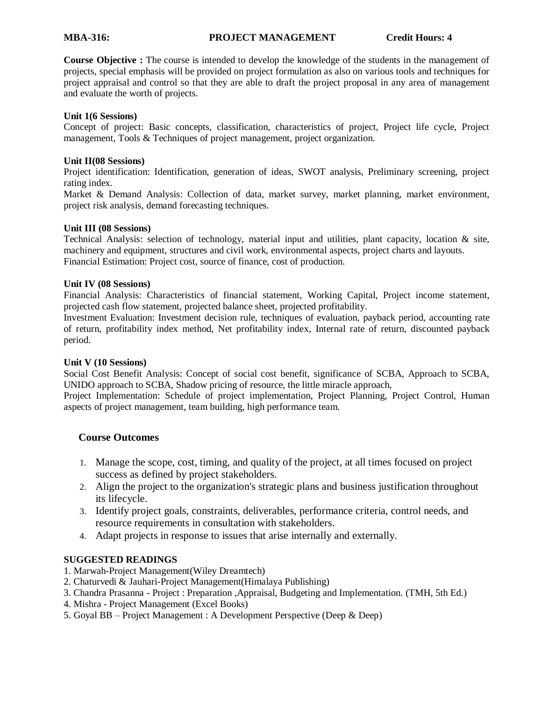#### **MBA-316: PROJECT MANAGEMENT Credit Hours: 4**

**Course Objective :** The course is intended to develop the knowledge of the students in the management of projects, special emphasis will be provided on project formulation as also on various tools and techniques for project appraisal and control so that they are able to draft the project proposal in any area of management and evaluate the worth of projects.

#### **Unit 1(6 Sessions)**

Concept of project: Basic concepts, classification, characteristics of project, Project life cycle, Project management, Tools & Techniques of project management, project organization.

#### **Unit II(08 Sessions)**

Project identification: Identification, generation of ideas, SWOT analysis, Preliminary screening, project rating index.

Market & Demand Analysis: Collection of data, market survey, market planning, market environment, project risk analysis, demand forecasting techniques.

#### **Unit III (08 Sessions)**

Technical Analysis: selection of technology, material input and utilities, plant capacity, location & site, machinery and equipment, structures and civil work, environmental aspects, project charts and layouts. Financial Estimation: Project cost, source of finance, cost of production.

#### **Unit IV (08 Sessions)**

Financial Analysis: Characteristics of financial statement, Working Capital, Project income statement, projected cash flow statement, projected balance sheet, projected profitability.

Investment Evaluation: Investment decision rule, techniques of evaluation, payback period, accounting rate of return, profitability index method, Net profitability index, Internal rate of return, discounted payback period.

#### **Unit V (10 Sessions)**

Social Cost Benefit Analysis: Concept of social cost benefit, significance of SCBA, Approach to SCBA, UNIDO approach to SCBA, Shadow pricing of resource, the little miracle approach,

Project Implementation: Schedule of project implementation, Project Planning, Project Control, Human aspects of project management, team building, high performance team.

#### **Course Outcomes**

- 1. Manage the scope, cost, timing, and quality of the project, at all times focused on project success as defined by project stakeholders.
- 2. Align the project to the organization's strategic plans and business justification throughout its lifecycle.
- 3. Identify project goals, constraints, deliverables, performance criteria, control needs, and resource requirements in consultation with stakeholders.
- 4. Adapt projects in response to issues that arise internally and externally.

#### **SUGGESTED READINGS**

- 1. Marwah-Project Management(Wiley Dreamtech)
- 2. Chaturvedi & Jauhari-Project Management(Himalaya Publishing)
- 3. Chandra Prasanna Project : Preparation ,Appraisal, Budgeting and Implementation. (TMH, 5th Ed.)
- 4. Mishra Project Management (Excel Books)
- 5. Goyal BB Project Management : A Development Perspective (Deep & Deep)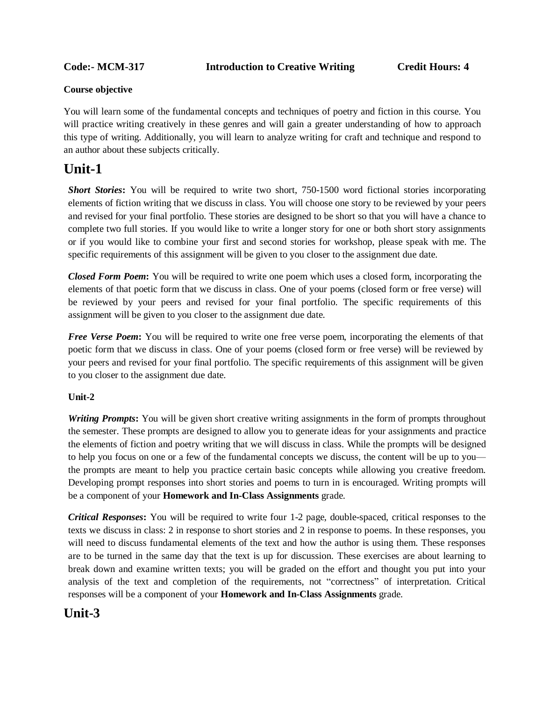#### **Course objective**

You will learn some of the fundamental concepts and techniques of poetry and fiction in this course. You will practice writing creatively in these genres and will gain a greater understanding of how to approach this type of writing. Additionally, you will learn to analyze writing for craft and technique and respond to an author about these subjects critically.

# **Unit-1**

*Short Stories***:** You will be required to write two short, 750-1500 word fictional stories incorporating elements of fiction writing that we discuss in class. You will choose one story to be reviewed by your peers and revised for your final portfolio. These stories are designed to be short so that you will have a chance to complete two full stories. If you would like to write a longer story for one or both short story assignments or if you would like to combine your first and second stories for workshop, please speak with me. The specific requirements of this assignment will be given to you closer to the assignment due date.

*Closed Form Poem***:** You will be required to write one poem which uses a closed form, incorporating the elements of that poetic form that we discuss in class. One of your poems (closed form or free verse) will be reviewed by your peers and revised for your final portfolio. The specific requirements of this assignment will be given to you closer to the assignment due date.

*Free Verse Poem***:** You will be required to write one free verse poem, incorporating the elements of that poetic form that we discuss in class. One of your poems (closed form or free verse) will be reviewed by your peers and revised for your final portfolio. The specific requirements of this assignment will be given to you closer to the assignment due date.

#### **Unit-2**

*Writing Prompts***:** You will be given short creative writing assignments in the form of prompts throughout the semester. These prompts are designed to allow you to generate ideas for your assignments and practice the elements of fiction and poetry writing that we will discuss in class. While the prompts will be designed to help you focus on one or a few of the fundamental concepts we discuss, the content will be up to you the prompts are meant to help you practice certain basic concepts while allowing you creative freedom. Developing prompt responses into short stories and poems to turn in is encouraged. Writing prompts will be a component of your **Homework and In-Class Assignments** grade.

*Critical Responses***:** You will be required to write four 1-2 page, double-spaced, critical responses to the texts we discuss in class: 2 in response to short stories and 2 in response to poems. In these responses, you will need to discuss fundamental elements of the text and how the author is using them. These responses are to be turned in the same day that the text is up for discussion. These exercises are about learning to break down and examine written texts; you will be graded on the effort and thought you put into your analysis of the text and completion of the requirements, not "correctness" of interpretation. Critical responses will be a component of your **Homework and In-Class Assignments** grade.

# **Unit-3**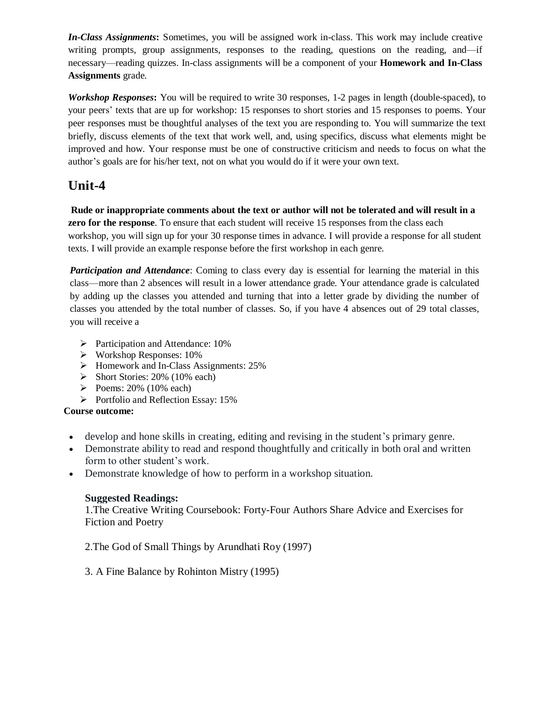*In-Class Assignments***:** Sometimes, you will be assigned work in-class. This work may include creative writing prompts, group assignments, responses to the reading, questions on the reading, and—if necessary—reading quizzes. In-class assignments will be a component of your **Homework and In-Class Assignments** grade.

*Workshop Responses***:** You will be required to write 30 responses, 1-2 pages in length (double-spaced), to your peers' texts that are up for workshop: 15 responses to short stories and 15 responses to poems. Your peer responses must be thoughtful analyses of the text you are responding to. You will summarize the text briefly, discuss elements of the text that work well, and, using specifics, discuss what elements might be improved and how. Your response must be one of constructive criticism and needs to focus on what the author's goals are for his/her text, not on what you would do if it were your own text.

# **Unit-4**

**Rude or inappropriate comments about the text or author will not be tolerated and will result in a zero for the response**. To ensure that each student will receive 15 responses from the class each workshop, you will sign up for your 30 response times in advance. I will provide a response for all student texts. I will provide an example response before the first workshop in each genre.

*Participation and Attendance*: Coming to class every day is essential for learning the material in this class—more than 2 absences will result in a lower attendance grade. Your attendance grade is calculated by adding up the classes you attended and turning that into a letter grade by dividing the number of classes you attended by the total number of classes. So, if you have 4 absences out of 29 total classes, you will receive a

- $\triangleright$  Participation and Attendance: 10%
- Workshop Responses: 10%
- Homework and In-Class Assignments: 25%
- $\triangleright$  Short Stories: 20% (10% each)
- Poems:  $20\%$  (10% each)
- $\triangleright$  Portfolio and Reflection Essay: 15%

## **Course outcome:**

- develop and hone skills in creating, editing and revising in the student's primary genre.
- Demonstrate ability to read and respond thoughtfully and critically in both oral and written form to other student's work.
- Demonstrate knowledge of how to perform in a workshop situation.

## **Suggested Readings:**

1.The Creative Writing Coursebook: Forty-Four Authors Share Advice and Exercises for Fiction and Poetry

2.[The God of Small Things](https://bookshop.theguardian.com/god-of-small-things.html) by Arundhati Roy (1997)

3. [A Fine Balance](https://bookshop.theguardian.com/catalog/product/view/id/350670/) by Rohinton Mistry (1995)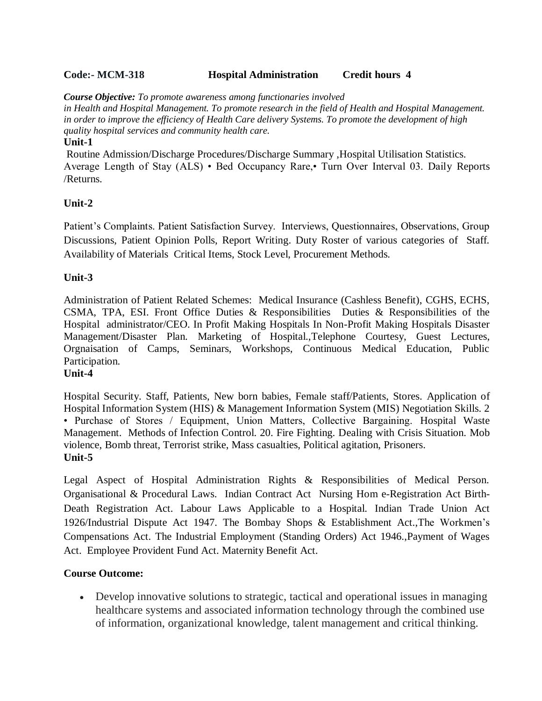## **Code:- MCM-318 Hospital Administration Credit hours 4**

*Course Objective: To promote awareness among functionaries involved* 

*in Health and Hospital Management. To promote research in the field of Health and Hospital Management. in order to improve the efficiency of Health Care delivery Systems. To promote the development of high quality hospital services and community health care.*

#### **Unit-1**

Routine Admission/Discharge Procedures/Discharge Summary ,Hospital Utilisation Statistics. Average Length of Stay (ALS) • Bed Occupancy Rare,• Turn Over Interval 03. Daily Reports /Returns.

## **Unit-2**

Patient's Complaints. Patient Satisfaction Survey. Interviews, Questionnaires, Observations, Group Discussions, Patient Opinion Polls, Report Writing. Duty Roster of various categories of Staff. Availability of Materials Critical Items, Stock Level, Procurement Methods.

## **Unit-3**

Administration of Patient Related Schemes: Medical Insurance (Cashless Benefit), CGHS, ECHS, CSMA, TPA, ESI. Front Office Duties & Responsibilities Duties & Responsibilities of the Hospital administrator/CEO. In Profit Making Hospitals In Non-Profit Making Hospitals Disaster Management/Disaster Plan. Marketing of Hospital.,Telephone Courtesy, Guest Lectures, Orgnaisation of Camps, Seminars, Workshops, Continuous Medical Education, Public Participation.

#### **Unit-4**

Hospital Security. Staff, Patients, New born babies, Female staff/Patients, Stores. Application of Hospital Information System (HIS) & Management Information System (MIS) Negotiation Skills. 2 • Purchase of Stores / Equipment, Union Matters, Collective Bargaining. Hospital Waste Management. Methods of Infection Control. 20. Fire Fighting. Dealing with Crisis Situation. Mob violence, Bomb threat, Terrorist strike, Mass casualties, Political agitation, Prisoners. **Unit-5**

Legal Aspect of Hospital Administration Rights & Responsibilities of Medical Person. Organisational & Procedural Laws. Indian Contract Act Nursing Hom e-Registration Act Birth-Death Registration Act. Labour Laws Applicable to a Hospital. Indian Trade Union Act 1926/Industrial Dispute Act 1947. The Bombay Shops & Establishment Act.,The Workmen's Compensations Act. The Industrial Employment (Standing Orders) Act 1946.,Payment of Wages Act. Employee Provident Fund Act. Maternity Benefit Act.

#### **Course Outcome:**

 Develop innovative solutions to strategic, tactical and operational issues in managing healthcare systems and associated information technology through the combined use of information, organizational knowledge, talent management and critical thinking.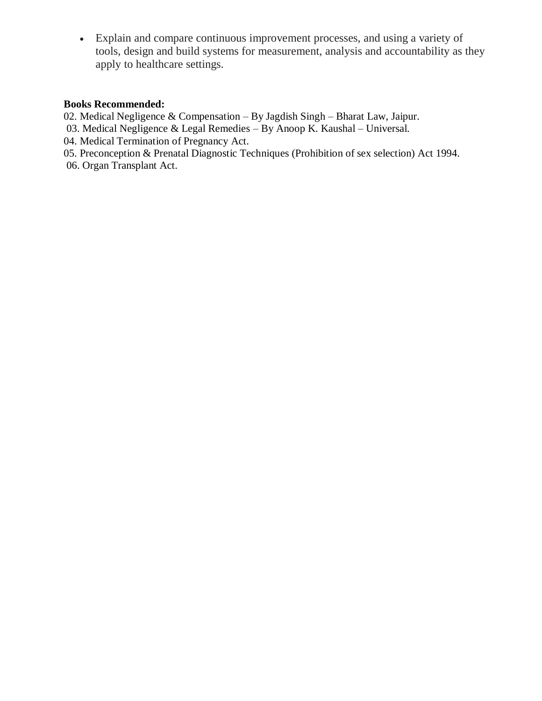Explain and compare continuous improvement processes, and using a variety of tools, design and build systems for measurement, analysis and accountability as they apply to healthcare settings.

## **Books Recommended:**

- 02. Medical Negligence & Compensation By Jagdish Singh Bharat Law, Jaipur.
- 03. Medical Negligence & Legal Remedies By Anoop K. Kaushal Universal.
- 04. Medical Termination of Pregnancy Act.
- 05. Preconception & Prenatal Diagnostic Techniques (Prohibition of sex selection) Act 1994.
- 06. Organ Transplant Act.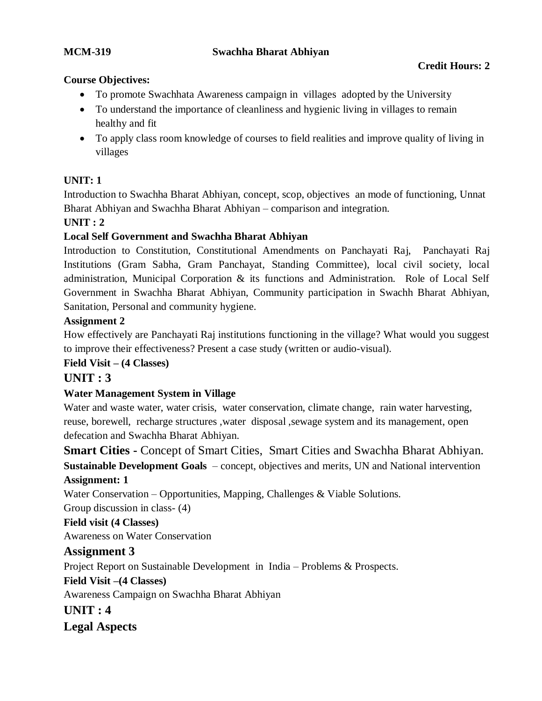## **MCM-319 Swachha Bharat Abhiyan**

## **Credit Hours: 2**

## **Course Objectives:**

- To promote Swachhata Awareness campaign in villages adopted by the University
- To understand the importance of cleanliness and hygienic living in villages to remain healthy and fit
- To apply class room knowledge of courses to field realities and improve quality of living in villages

## **UNIT: 1**

Introduction to Swachha Bharat Abhiyan, concept, scop, objectives an mode of functioning, Unnat Bharat Abhiyan and Swachha Bharat Abhiyan – comparison and integration.

## **UNIT : 2**

## **Local Self Government and Swachha Bharat Abhiyan**

Introduction to Constitution, Constitutional Amendments on Panchayati Raj, Panchayati Raj Institutions (Gram Sabha, Gram Panchayat, Standing Committee), local civil society, local administration, Municipal Corporation & its functions and Administration. Role of Local Self Government in Swachha Bharat Abhiyan, Community participation in Swachh Bharat Abhiyan, Sanitation, Personal and community hygiene.

## **Assignment 2**

How effectively are Panchayati Raj institutions functioning in the village? What would you suggest to improve their effectiveness? Present a case study (written or audio-visual).

#### **Field Visit – (4 Classes)**

## **UNIT : 3**

## **Water Management System in Village**

Water and waste water, water crisis, water conservation, climate change, rain water harvesting, reuse, borewell, recharge structures ,water disposal ,sewage system and its management, open defecation and Swachha Bharat Abhiyan.

**Smart Cities -** Concept of Smart Cities, Smart Cities and Swachha Bharat Abhiyan. **Sustainable Development Goals** – concept, objectives and merits, UN and National intervention

## **Assignment: 1**

Water Conservation – Opportunities, Mapping, Challenges & Viable Solutions.

Group discussion in class- (4)

## **Field visit (4 Classes)**

Awareness on Water Conservation

## **Assignment 3**

Project Report on Sustainable Development in India – Problems & Prospects.

## **Field Visit –(4 Classes)**

Awareness Campaign on Swachha Bharat Abhiyan

**UNIT : 4**

**Legal Aspects**